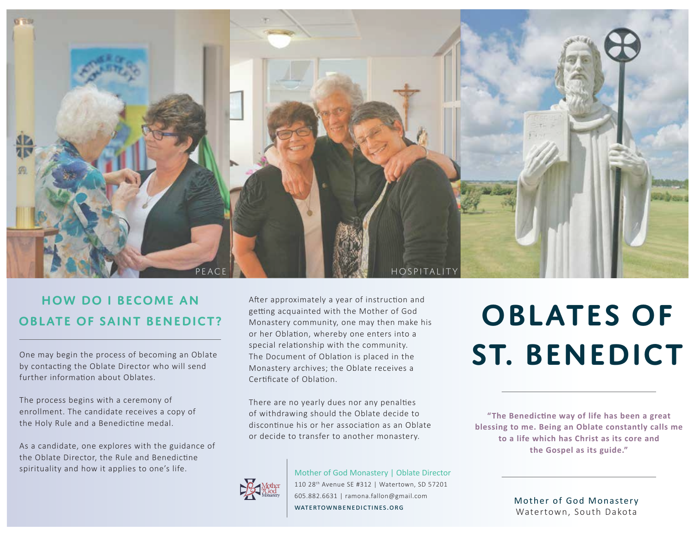

## **How do I become an Oblate of Saint Benedict?**

One may begin the process of becoming an Oblate by contacting the Oblate Director who will send further information about Oblates.

The process begins with a ceremony of enrollment. The candidate receives a copy of the Holy Rule and a Benedictine medal.

As a candidate, one explores with the guidance of the Oblate Director, the Rule and Benedictine spirituality and how it applies to one's life.

After approximately a year of instruction and getting acquainted with the Mother of God Monastery community, one may then make his or her Oblation, whereby one enters into a special relationship with the community. The Document of Oblation is placed in the Monastery archives; the Oblate receives a Certificate of Oblation

There are no yearly dues nor any penalties of withdrawing should the Oblate decide to discontinue his or her association as an Oblate or decide to transfer to another monastery.

Mother of God Monastery | Oblate Director

#### 110 28th Avenue SE #312 | Watertown, SD 57201 605.882.6631 | ramona.fallon@gmail.com WATERTOWNBENEDICTINES.ORG

# **Oblates of St. Benedict**

**"The Benedic�ne way of life has been a great blessing to me. Being an Oblate constantly calls me to a life which has Christ as its core and the Gospel as its guide."** 

> Mother of God Monastery Watertown, South Dakota